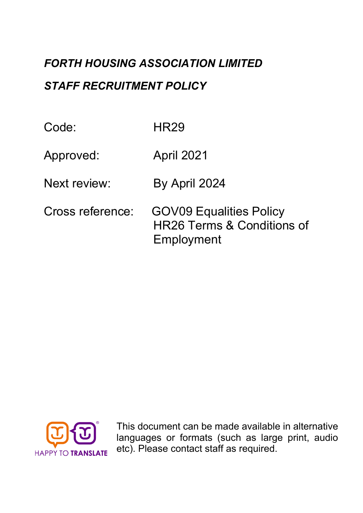# *FORTH HOUSING ASSOCIATION LIMITED STAFF RECRUITMENT POLICY*

| Code:            | HR29                                                                       |
|------------------|----------------------------------------------------------------------------|
| Approved:        | <b>April 2021</b>                                                          |
| Next review:     | By April 2024                                                              |
| Cross reference: | <b>GOV09 Equalities Policy</b><br>HR26 Terms & Conditions of<br>Employment |



This document can be made available in alternative languages or formats (such as large print, audio etc). Please contact staff as required.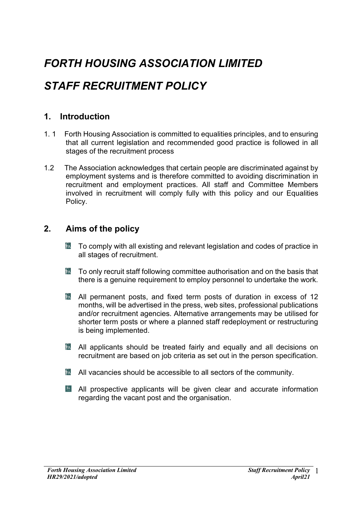## *FORTH HOUSING ASSOCIATION LIMITED*

## *STAFF RECRUITMENT POLICY*

## **1. Introduction**

- 1. 1 Forth Housing Association is committed to equalities principles, and to ensuring that all current legislation and recommended good practice is followed in all stages of the recruitment process
- 1.2 The Association acknowledges that certain people are discriminated against by employment systems and is therefore committed to avoiding discrimination in recruitment and employment practices. All staff and Committee Members involved in recruitment will comply fully with this policy and our Equalities Policy.

## **2. Aims of the policy**

- To comply with all existing and relevant legislation and codes of practice in  $\mathfrak{b}_\Lambda$ all stages of recruitment.
- $\mathbb{\hat{R}}$  To only recruit staff following committee authorisation and on the basis that there is a genuine requirement to employ personnel to undertake the work.
- $\mathbb{\hat{R}}$  All permanent posts, and fixed term posts of duration in excess of 12 months, will be advertised in the press, web sites, professional publications and/or recruitment agencies. Alternative arrangements may be utilised for shorter term posts or where a planned staff redeployment or restructuring is being implemented.
- **K** All applicants should be treated fairly and equally and all decisions on recruitment are based on job criteria as set out in the person specification.
- $\blacksquare$  All vacancies should be accessible to all sectors of the community.
- All prospective applicants will be given clear and accurate information regarding the vacant post and the organisation.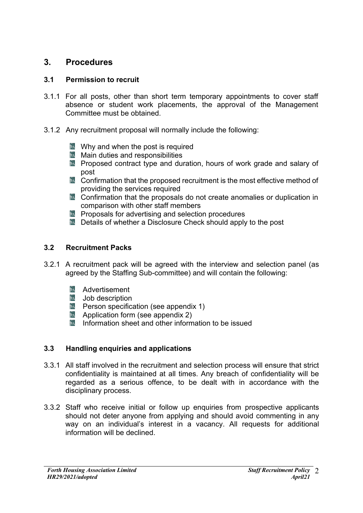## **3. Procedures**

#### **3.1 Permission to recruit**

- 3.1.1 For all posts, other than short term temporary appointments to cover staff absence or student work placements, the approval of the Management Committee must be obtained.
- 3.1.2 Any recruitment proposal will normally include the following:
	- $\mathbb{R}$  Why and when the post is required
	- **Main duties and responsibilities**
	- **E** Proposed contract type and duration, hours of work grade and salary of post
	- **K** Confirmation that the proposed recruitment is the most effective method of providing the services required
	- $\mathbb{R}$  Confirmation that the proposals do not create anomalies or duplication in comparison with other staff members
	- **EX** Proposals for advertising and selection procedures
	- **N** Details of whether a Disclosure Check should apply to the post

### **3.2 Recruitment Packs**

- 3.2.1 A recruitment pack will be agreed with the interview and selection panel (as agreed by the Staffing Sub-committee) and will contain the following:
	- **B** Advertisement
	- $\mathbb{R}$  Job description
	- $\mathbb{R}$  Person specification (see appendix 1)
	- **Application form (see appendix 2)**
	- **Information sheet and other information to be issued**

#### **3.3 Handling enquiries and applications**

- 3.3.1 All staff involved in the recruitment and selection process will ensure that strict confidentiality is maintained at all times. Any breach of confidentiality will be regarded as a serious offence, to be dealt with in accordance with the disciplinary process.
- 3.3.2 Staff who receive initial or follow up enquiries from prospective applicants should not deter anyone from applying and should avoid commenting in any way on an individual's interest in a vacancy. All requests for additional information will be declined.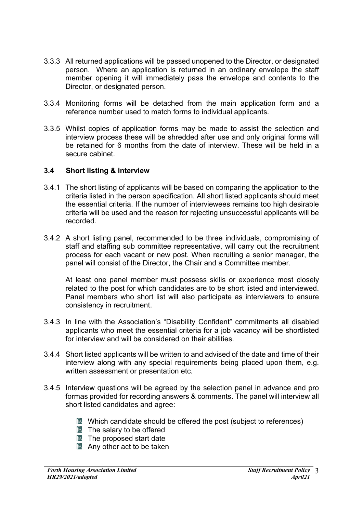- 3.3.3 All returned applications will be passed unopened to the Director, or designated person. Where an application is returned in an ordinary envelope the staff member opening it will immediately pass the envelope and contents to the Director, or designated person.
- 3.3.4 Monitoring forms will be detached from the main application form and a reference number used to match forms to individual applicants.
- 3.3.5 Whilst copies of application forms may be made to assist the selection and interview process these will be shredded after use and only original forms will be retained for 6 months from the date of interview. These will be held in a secure cabinet.

#### **3.4 Short listing & interview**

- 3.4.1 The short listing of applicants will be based on comparing the application to the criteria listed in the person specification. All short listed applicants should meet the essential criteria. If the number of interviewees remains too high desirable criteria will be used and the reason for rejecting unsuccessful applicants will be recorded.
- 3.4.2 A short listing panel, recommended to be three individuals, compromising of staff and staffing sub committee representative, will carry out the recruitment process for each vacant or new post. When recruiting a senior manager, the panel will consist of the Director, the Chair and a Committee member.

At least one panel member must possess skills or experience most closely related to the post for which candidates are to be short listed and interviewed. Panel members who short list will also participate as interviewers to ensure consistency in recruitment.

- 3.4.3 In line with the Association's "Disability Confident" commitments all disabled applicants who meet the essential criteria for a job vacancy will be shortlisted for interview and will be considered on their abilities.
- 3.4.4 Short listed applicants will be written to and advised of the date and time of their interview along with any special requirements being placed upon them, e.g. written assessment or presentation etc.
- 3.4.5 Interview questions will be agreed by the selection panel in advance and pro formas provided for recording answers & comments. The panel will interview all short listed candidates and agree:
	- **N** Which candidate should be offered the post (subject to references)
	- $\mathbb B$  The salary to be offered
	- $\overline{b}$  The proposed start date
	- $\blacksquare$  Any other act to be taken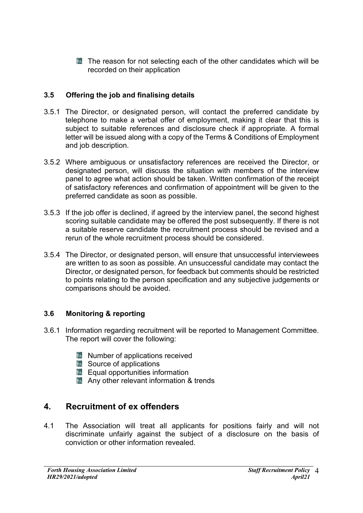$\mathbb{R}$  The reason for not selecting each of the other candidates which will be recorded on their application

### **3.5 Offering the job and finalising details**

- 3.5.1 The Director, or designated person, will contact the preferred candidate by telephone to make a verbal offer of employment, making it clear that this is subject to suitable references and disclosure check if appropriate. A formal letter will be issued along with a copy of the Terms & Conditions of Employment and job description.
- 3.5.2 Where ambiguous or unsatisfactory references are received the Director, or designated person, will discuss the situation with members of the interview panel to agree what action should be taken. Written confirmation of the receipt of satisfactory references and confirmation of appointment will be given to the preferred candidate as soon as possible.
- 3.5.3 If the job offer is declined, if agreed by the interview panel, the second highest scoring suitable candidate may be offered the post subsequently. If there is not a suitable reserve candidate the recruitment process should be revised and a rerun of the whole recruitment process should be considered.
- 3.5.4 The Director, or designated person, will ensure that unsuccessful interviewees are written to as soon as possible. An unsuccessful candidate may contact the Director, or designated person, for feedback but comments should be restricted to points relating to the person specification and any subjective judgements or comparisons should be avoided.

#### **3.6 Monitoring & reporting**

- 3.6.1 Information regarding recruitment will be reported to Management Committee. The report will cover the following:
	- $\mathbb{\mathbb{R}}$  Number of applications received
	- $\mathbb{R}$  Source of applications
	- $\mathbb B$  Equal opportunities information
	- **Any other relevant information & trends**

## **4. Recruitment of ex offenders**

4.1 The Association will treat all applicants for positions fairly and will not discriminate unfairly against the subject of a disclosure on the basis of conviction or other information revealed.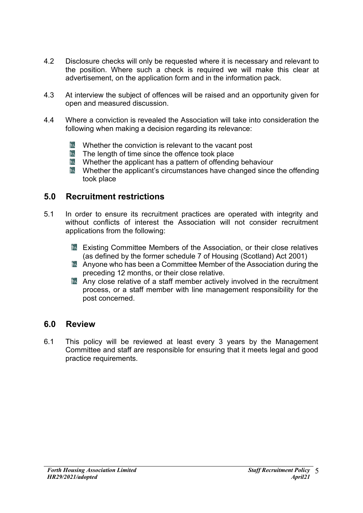- 4.2 Disclosure checks will only be requested where it is necessary and relevant to the position. Where such a check is required we will make this clear at advertisement, on the application form and in the information pack.
- 4.3 At interview the subject of offences will be raised and an opportunity given for open and measured discussion.
- 4.4 Where a conviction is revealed the Association will take into consideration the following when making a decision regarding its relevance:
	- **EX** Whether the conviction is relevant to the vacant post
	- $\mathcal{R}_{\lambda}$ The length of time since the offence took place
	- $\mathbb N$  Whether the applicant has a pattern of offending behaviour
	- $\blacksquare$  Whether the applicant's circumstances have changed since the offending took place

### **5.0 Recruitment restrictions**

- 5.1 In order to ensure its recruitment practices are operated with integrity and without conflicts of interest the Association will not consider recruitment applications from the following:
	- **EXIST** Existing Committee Members of the Association, or their close relatives (as defined by the former schedule 7 of Housing (Scotland) Act 2001)
	- **A** Anyone who has been a Committee Member of the Association during the preceding 12 months, or their close relative.
	- $\mathbb{\hat{R}}$  Any close relative of a staff member actively involved in the recruitment process, or a staff member with line management responsibility for the post concerned.

#### **6.0 Review**

6.1 This policy will be reviewed at least every 3 years by the Management Committee and staff are responsible for ensuring that it meets legal and good practice requirements.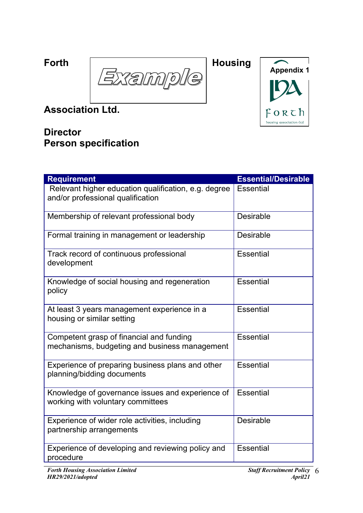Forth  $\sqrt{2}$  Housing  $\frac{1}{2}$ <u>Ie</u> Xal n n  $\overline{\mathcal{C}}$ 



**Association Ltd.**

## **Director Person specification**

| <b>Requirement</b>                                                                        | <b>Essential/Desirable</b> |
|-------------------------------------------------------------------------------------------|----------------------------|
| Relevant higher education qualification, e.g. degree<br>and/or professional qualification | <b>Essential</b>           |
| Membership of relevant professional body                                                  | Desirable                  |
| Formal training in management or leadership                                               | Desirable                  |
| Track record of continuous professional<br>development                                    | <b>Essential</b>           |
| Knowledge of social housing and regeneration<br>policy                                    | <b>Essential</b>           |
| At least 3 years management experience in a<br>housing or similar setting                 | <b>Essential</b>           |
| Competent grasp of financial and funding<br>mechanisms, budgeting and business management | <b>Essential</b>           |
| Experience of preparing business plans and other<br>planning/bidding documents            | <b>Essential</b>           |
| Knowledge of governance issues and experience of<br>working with voluntary committees     | <b>Essential</b>           |
| Experience of wider role activities, including<br>partnership arrangements                | Desirable                  |
| Experience of developing and reviewing policy and<br>procedure                            | <b>Essential</b>           |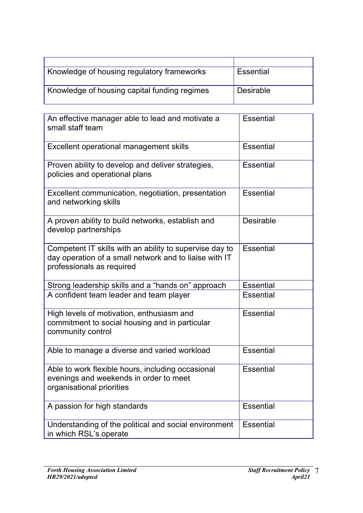| Knowledge of housing regulatory frameworks   | Essential        |
|----------------------------------------------|------------------|
| Knowledge of housing capital funding regimes | <b>Desirable</b> |

| An effective manager able to lead and motivate a<br>small staff team                                                                           | <b>Essential</b> |
|------------------------------------------------------------------------------------------------------------------------------------------------|------------------|
| Excellent operational management skills                                                                                                        | <b>Essential</b> |
| Proven ability to develop and deliver strategies,<br>policies and operational plans                                                            | <b>Essential</b> |
| Excellent communication, negotiation, presentation<br>and networking skills                                                                    | <b>Essential</b> |
| A proven ability to build networks, establish and<br>develop partnerships                                                                      | <b>Desirable</b> |
| Competent IT skills with an ability to supervise day to<br>day operation of a small network and to liaise with IT<br>professionals as required | <b>Essential</b> |
| Strong leadership skills and a "hands on" approach                                                                                             | <b>Essential</b> |
| A confident team leader and team player                                                                                                        | <b>Essential</b> |
| High levels of motivation, enthusiasm and<br>commitment to social housing and in particular<br>community control                               | <b>Essential</b> |
| Able to manage a diverse and varied workload                                                                                                   | <b>Essential</b> |
| Able to work flexible hours, including occasional<br>evenings and weekends in order to meet<br>organisational priorities                       | <b>Essential</b> |
| A passion for high standards                                                                                                                   | <b>Essential</b> |
| Understanding of the political and social environment<br>in which RSL's operate                                                                | <b>Essential</b> |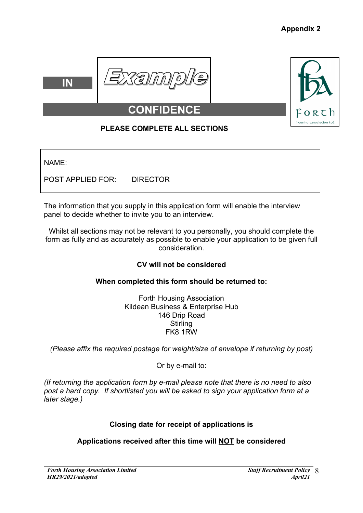





## **CONFID**

## **PLEASE COMPLETE ALL SECTIONS**

NAME:

POST APPLIED FOR: DIRECTOR

The information that you supply in this application form will enable the interview panel to decide whether to invite you to an interview.

Whilst all sections may not be relevant to you personally, you should complete the form as fully and as accurately as possible to enable your application to be given full consideration.

## **CV will not be considered**

## **When completed this form should be returned to:**

Forth Housing Association Kildean Business & Enterprise Hub 146 Drip Road **Stirling** FK8 1RW

*(Please affix the required postage for weight/size of envelope if returning by post)*

Or by e-mail to:

*(If returning the application form by e-mail please note that there is no need to also post a hard copy. If shortlisted you will be asked to sign your application form at a later stage.)*

## **Closing date for receipt of applications is**

## **Applications received after this time will NOT be considered**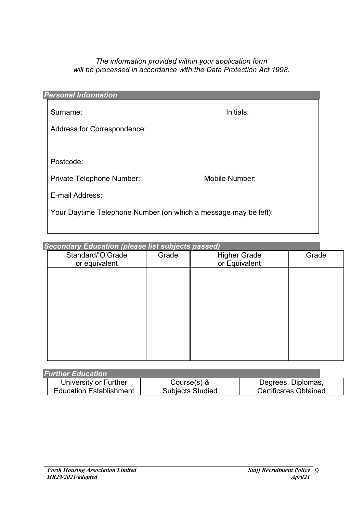#### *The information provided within your application form will be processed in accordance with the Data Protection Act 1998.*

| <b>Personal Information</b>                                     |                |
|-----------------------------------------------------------------|----------------|
| Surname:                                                        | Initials:      |
| Address for Correspondence:                                     |                |
|                                                                 |                |
| Postcode:                                                       |                |
| Private Telephone Number:                                       | Mobile Number: |
| E-mail Address:                                                 |                |
| Your Daytime Telephone Number (on which a message may be left): |                |
|                                                                 |                |

*Secondary Education (please list subjects passed)* Standard/'O'Grade or equivalent Grade Higher Grade or Equivalent Grade

| <b>Further Education</b>       |                         |                              |
|--------------------------------|-------------------------|------------------------------|
| University or Further          | Course $(s)$ &          | Degrees, Diplomas,           |
| <b>Education Establishment</b> | <b>Subjects Studied</b> | <b>Certificates Obtained</b> |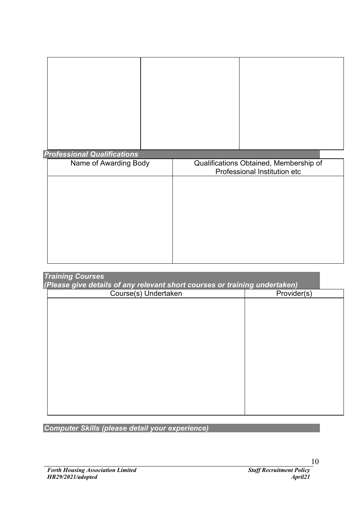## *Professional Qualifications*

| Qualifications Obtained, Membership of<br>Professional Institution etc |
|------------------------------------------------------------------------|
|                                                                        |
|                                                                        |
|                                                                        |
|                                                                        |
|                                                                        |
|                                                                        |

| <b>Training Courses</b><br>(Please give details of any relevant short courses or training undertaken) |             |
|-------------------------------------------------------------------------------------------------------|-------------|
| Course(s) Undertaken                                                                                  | Provider(s) |
|                                                                                                       |             |
|                                                                                                       |             |
|                                                                                                       |             |
|                                                                                                       |             |
|                                                                                                       |             |
|                                                                                                       |             |
|                                                                                                       |             |
|                                                                                                       |             |
|                                                                                                       |             |
|                                                                                                       |             |
|                                                                                                       |             |
|                                                                                                       |             |

*Computer Skills (please detail your experience)*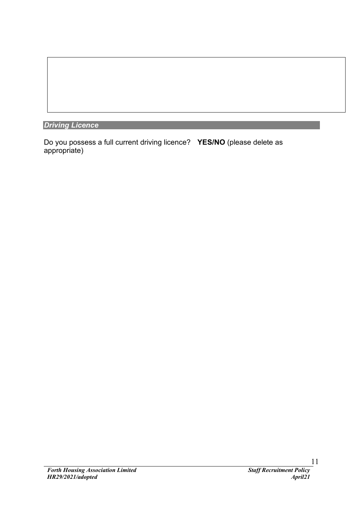*Driving Licence*

Do you possess a full current driving licence? **YES/NO** (please delete as appropriate)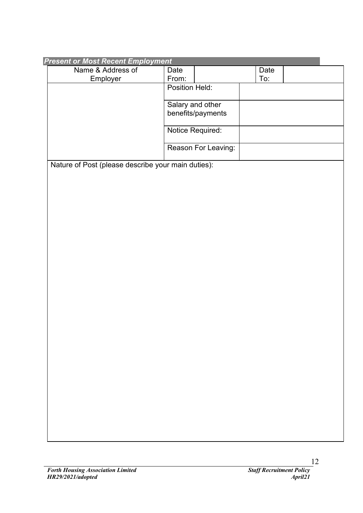| <b>Present or Most Recent Employment</b>           |                     |      |  |
|----------------------------------------------------|---------------------|------|--|
| Name & Address of                                  | Date                | Date |  |
| Employer                                           | From:               | To:  |  |
|                                                    | Position Held:      |      |  |
|                                                    |                     |      |  |
|                                                    | Salary and other    |      |  |
|                                                    | benefits/payments   |      |  |
|                                                    |                     |      |  |
|                                                    | Notice Required:    |      |  |
|                                                    |                     |      |  |
|                                                    | Reason For Leaving: |      |  |
|                                                    |                     |      |  |
| Nature of Post (please describe your main duties): |                     |      |  |
|                                                    |                     |      |  |
|                                                    |                     |      |  |
|                                                    |                     |      |  |
|                                                    |                     |      |  |
|                                                    |                     |      |  |
|                                                    |                     |      |  |
|                                                    |                     |      |  |
|                                                    |                     |      |  |
|                                                    |                     |      |  |
|                                                    |                     |      |  |
|                                                    |                     |      |  |
|                                                    |                     |      |  |
|                                                    |                     |      |  |
|                                                    |                     |      |  |
|                                                    |                     |      |  |
|                                                    |                     |      |  |
|                                                    |                     |      |  |
|                                                    |                     |      |  |
|                                                    |                     |      |  |
|                                                    |                     |      |  |
|                                                    |                     |      |  |
|                                                    |                     |      |  |
|                                                    |                     |      |  |
|                                                    |                     |      |  |
|                                                    |                     |      |  |
|                                                    |                     |      |  |
|                                                    |                     |      |  |
|                                                    |                     |      |  |
|                                                    |                     |      |  |
|                                                    |                     |      |  |
|                                                    |                     |      |  |
|                                                    |                     |      |  |
|                                                    |                     |      |  |
|                                                    |                     |      |  |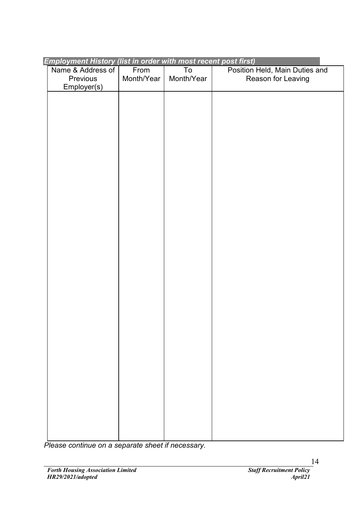| <b>Employment History (list in order with most recent post first)</b> |            |            |                                |
|-----------------------------------------------------------------------|------------|------------|--------------------------------|
| Name & Address of                                                     | From       | To         | Position Held, Main Duties and |
| Previous                                                              | Month/Year | Month/Year | Reason for Leaving             |
| Employer(s)                                                           |            |            |                                |
|                                                                       |            |            |                                |
|                                                                       |            |            |                                |
|                                                                       |            |            |                                |
|                                                                       |            |            |                                |
|                                                                       |            |            |                                |
|                                                                       |            |            |                                |
|                                                                       |            |            |                                |
|                                                                       |            |            |                                |
|                                                                       |            |            |                                |
|                                                                       |            |            |                                |
|                                                                       |            |            |                                |
|                                                                       |            |            |                                |
|                                                                       |            |            |                                |
|                                                                       |            |            |                                |
|                                                                       |            |            |                                |
|                                                                       |            |            |                                |
|                                                                       |            |            |                                |
|                                                                       |            |            |                                |
|                                                                       |            |            |                                |
|                                                                       |            |            |                                |
|                                                                       |            |            |                                |
|                                                                       |            |            |                                |
|                                                                       |            |            |                                |
|                                                                       |            |            |                                |
|                                                                       |            |            |                                |
|                                                                       |            |            |                                |
|                                                                       |            |            |                                |
|                                                                       |            |            |                                |
|                                                                       |            |            |                                |
|                                                                       |            |            |                                |
|                                                                       |            |            |                                |
|                                                                       |            |            |                                |
|                                                                       |            |            |                                |
|                                                                       |            |            |                                |
|                                                                       |            |            |                                |
|                                                                       |            |            |                                |
|                                                                       |            |            |                                |
|                                                                       |            |            |                                |
|                                                                       |            |            |                                |
|                                                                       |            |            |                                |
|                                                                       |            |            |                                |
|                                                                       |            |            |                                |
|                                                                       |            |            |                                |

*Please continue on a separate sheet if necessary.*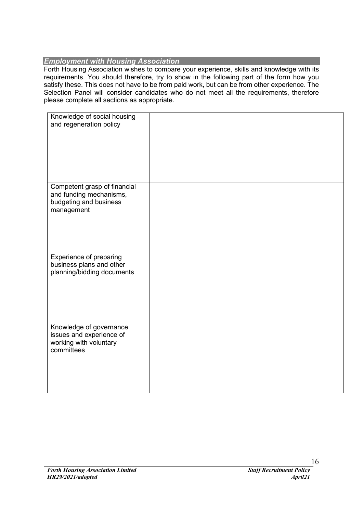#### *Employment with Housing Association*

Forth Housing Association wishes to compare your experience, skills and knowledge with its requirements. You should therefore, try to show in the following part of the form how you satisfy these. This does not have to be from paid work, but can be from other experience. The Selection Panel will consider candidates who do not meet all the requirements, therefore please complete all sections as appropriate.

| Knowledge of social housing  |  |
|------------------------------|--|
| and regeneration policy      |  |
|                              |  |
|                              |  |
|                              |  |
|                              |  |
|                              |  |
|                              |  |
|                              |  |
|                              |  |
| Competent grasp of financial |  |
| and funding mechanisms,      |  |
| budgeting and business       |  |
| management                   |  |
|                              |  |
|                              |  |
|                              |  |
|                              |  |
|                              |  |
|                              |  |
| Experience of preparing      |  |
| business plans and other     |  |
| planning/bidding documents   |  |
|                              |  |
|                              |  |
|                              |  |
|                              |  |
|                              |  |
|                              |  |
|                              |  |
| Knowledge of governance      |  |
| issues and experience of     |  |
| working with voluntary       |  |
| committees                   |  |
|                              |  |
|                              |  |
|                              |  |
|                              |  |
|                              |  |
|                              |  |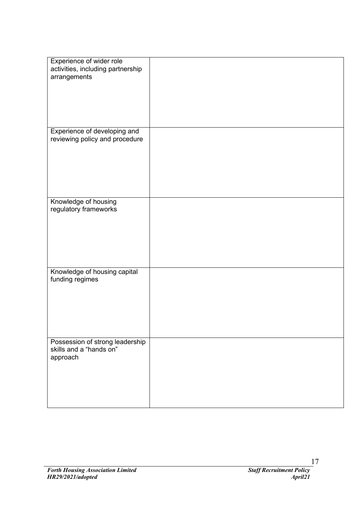| Experience of wider role<br>activities, including partnership  |  |
|----------------------------------------------------------------|--|
| arrangements                                                   |  |
|                                                                |  |
|                                                                |  |
|                                                                |  |
| Experience of developing and<br>reviewing policy and procedure |  |
|                                                                |  |
|                                                                |  |
|                                                                |  |
|                                                                |  |
| Knowledge of housing<br>regulatory frameworks                  |  |
|                                                                |  |
|                                                                |  |
|                                                                |  |
|                                                                |  |
| Knowledge of housing capital<br>funding regimes                |  |
|                                                                |  |
|                                                                |  |
|                                                                |  |
|                                                                |  |
| Possession of strong leadership<br>skills and a "hands on"     |  |
| approach                                                       |  |
|                                                                |  |
|                                                                |  |
|                                                                |  |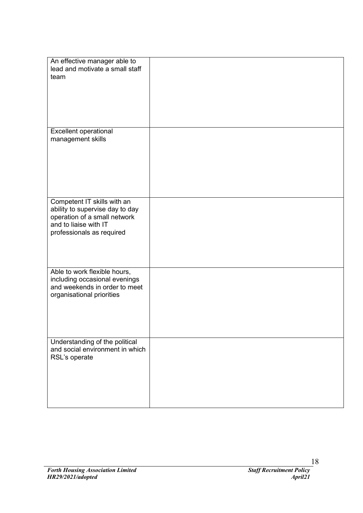| An effective manager able to<br>lead and motivate a small staff<br>team                                                                              |  |
|------------------------------------------------------------------------------------------------------------------------------------------------------|--|
|                                                                                                                                                      |  |
|                                                                                                                                                      |  |
| Excellent operational<br>management skills                                                                                                           |  |
|                                                                                                                                                      |  |
|                                                                                                                                                      |  |
| Competent IT skills with an<br>ability to supervise day to day<br>operation of a small network<br>and to liaise with IT<br>professionals as required |  |
|                                                                                                                                                      |  |
| Able to work flexible hours,<br>including occasional evenings<br>and weekends in order to meet<br>organisational priorities                          |  |
|                                                                                                                                                      |  |
| Understanding of the political<br>and social environment in which<br>RSL's operate                                                                   |  |
|                                                                                                                                                      |  |
|                                                                                                                                                      |  |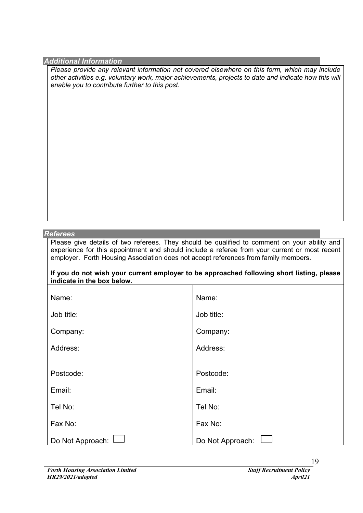#### *Additional Information*

*Please provide any relevant information not covered elsewhere on this form, which may include other activities e.g. voluntary work, major achievements, projects to date and indicate how this will enable you to contribute further to this post.*

#### *Referees*

Please give details of two referees. They should be qualified to comment on your ability and experience for this appointment and should include a referee from your current or most recent employer. Forth Housing Association does not accept references from family members.

**If you do not wish your current employer to be approached following short listing, please indicate in the box below.**

┓

| Name:            | Name:            |
|------------------|------------------|
| Job title:       | Job title:       |
| Company:         | Company:         |
| Address:         | Address:         |
|                  |                  |
| Postcode:        | Postcode:        |
| Email:           | Email:           |
| Tel No:          | Tel No:          |
| Fax No:          | Fax No:          |
| Do Not Approach: | Do Not Approach: |

19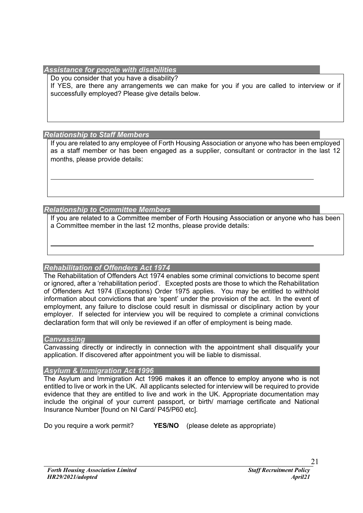#### *Assistance for people with disabilities*

Do you consider that you have a disability? If YES, are there any arrangements we can make for you if you are called to interview or if successfully employed? Please give details below.

#### *Relationship to Staff Members*

If you are related to any employee of Forth Housing Association or anyone who has been employed as a staff member or has been engaged as a supplier, consultant or contractor in the last 12 months, please provide details:

*Relationship to Committee Members*

If you are related to a Committee member of Forth Housing Association or anyone who has been a Committee member in the last 12 months, please provide details:

#### *Rehabilitation of Offenders Act 1974*

The Rehabilitation of Offenders Act 1974 enables some criminal convictions to become spent or ignored, after a 'rehabilitation period'. Excepted posts are those to which the Rehabilitation of Offenders Act 1974 (Exceptions) Order 1975 applies. You may be entitled to withhold information about convictions that are 'spent' under the provision of the act. In the event of employment, any failure to disclose could result in dismissal or disciplinary action by your employer. If selected for interview you will be required to complete a criminal convictions declaration form that will only be reviewed if an offer of employment is being made.

#### *Canvassing*

Canvassing directly or indirectly in connection with the appointment shall disqualify your application. If discovered after appointment you will be liable to dismissal.

#### *Asylum & Immigration Act 1996*

The Asylum and Immigration Act 1996 makes it an offence to employ anyone who is not entitled to live or work in the UK. All applicants selected for interview will be required to provide evidence that they are entitled to live and work in the UK. Appropriate documentation may include the original of your current passport, or birth/ marriage certificate and National Insurance Number [found on NI Card/ P45/P60 etc].

Do you require a work permit? **YES/NO** (please delete as appropriate)